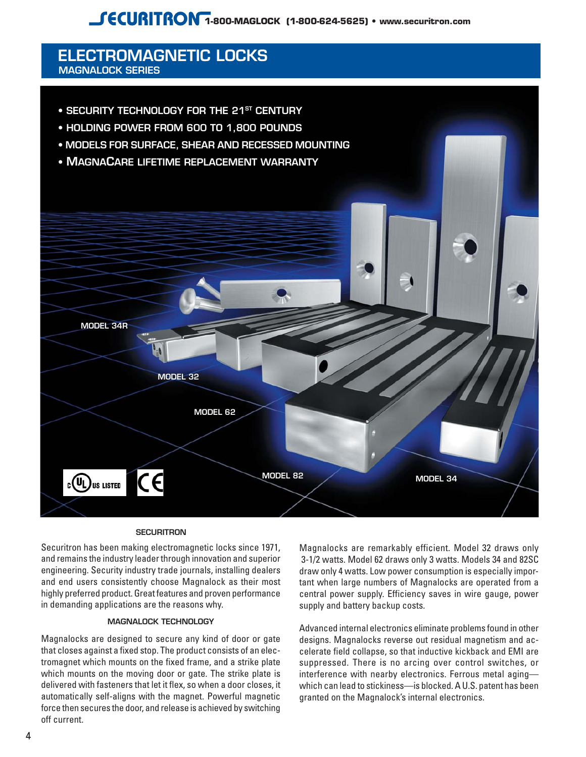# **ELECTROMAGNETIC LOCKS MAGNALOCK SERIES**



- **HOLDING POWER FROM 600 TO 1,800 POUNDS**
- **MODELS FOR SURFACE, SHEAR AND RECESSED MOUNTING**



#### **SECURITRON**

Securitron has been making electromagnetic locks since 1971, and remains the industry leader through innovation and superior engineering. Security industry trade journals, installing dealers and end users consistently choose Magnalock as their most highly preferred product. Great features and proven performance in demanding applications are the reasons why.

#### **MAGNALOCK TECHNOLOGY**

Magnalocks are designed to secure any kind of door or gate that closes against a fixed stop. The product consists of an electromagnet which mounts on the fixed frame, and a strike plate which mounts on the moving door or gate. The strike plate is delivered with fasteners that let it flex, so when a door closes, it automatically self-aligns with the magnet. Powerful magnetic force then secures the door, and release is achieved by switching off current.

Magnalocks are remarkably efficient. Model 32 draws only 3-1/2 watts. Model 62 draws only 3 watts. Models 34 and 82SC draw only 4 watts. Low power consumption is especially important when large numbers of Magnalocks are operated from a central power supply. Efficiency saves in wire gauge, power supply and battery backup costs.

Advanced internal electronics eliminate problems found in other designs. Magnalocks reverse out residual magnetism and accelerate field collapse, so that inductive kickback and EMI are suppressed. There is no arcing over control switches, or interference with nearby electronics. Ferrous metal aging which can lead to stickiness—is blocked. A U.S. patent has been granted on the Magnalock's internal electronics.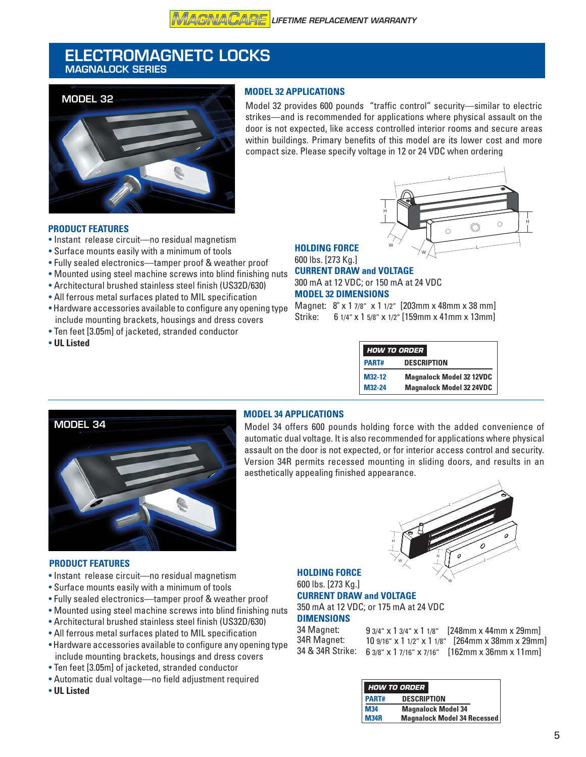# **ELECTROMAGNETC LOCKS MAGNALOCK SERIES**



• Instant release circuit—no residual magnetism • Surface mounts easily with a minimum of tools

## **MODEL 32 APPLICATIONS**

Model 32 provides 600 pounds "traffic control" security—similar to electric strikes—and is recommended for applications where physical assault on the door is not expected, like access controlled interior rooms and secure areas within buildings. Primary benefits of this model are its lower cost and more compact size. Please specify voltage in 12 or 24 VDC when ordering



## **HOLDING FORCE**

600 lbs. [273 Kg.]

- Fully sealed electronics—tamper proof & weather proof • Mounted using steel machine screws into blind finishing nuts
- Architectural brushed stainless steel finish (US32D/630)
- All ferrous metal surfaces plated to MIL specification
- Hardware accessories available to configure any opening type include mounting brackets, housings and dress covers
- Ten feet [3.05m] of jacketed, stranded conductor
- **UL Listed**

**PRODUCT FEATURES**

300 mA at 12 VDC; or 150 mA at 24 VDC **MODEL 32 DIMENSIONS**

**CURRENT DRAW and VOLTAGE**

Magnet: 8" x 1 7/8" x 1 1/2" [203mm x 48mm x 38 mm] Strike: 6 1/4" x 1 5/8" x 1/2" [159mm x 41mm x 13mm]

| <b>HOW TO ORDER</b> |                                 |  |  |
|---------------------|---------------------------------|--|--|
| PART#               | <b>DESCRIPTION</b>              |  |  |
| M32-12              | <b>Magnalock Model 32 12VDC</b> |  |  |
| M32-24              | <b>Magnalock Model 32 24VDC</b> |  |  |



#### **MODEL 34 APPLICATIONS**

Model 34 offers 600 pounds holding force with the added convenience of automatic dual voltage. It is also recommended for applications where physical assault on the door is not expected, or for interior access control and security. Version 34R permits recessed mounting in sliding doors, and results in an aesthetically appealing finished appearance.



## **PRODUCT FEATURES**

- Instant release circuit—no residual magnetism
- Surface mounts easily with a minimum of tools
- Fully sealed electronics—tamper proof & weather proof
- Mounted using steel machine screws into blind finishing nuts
- Architectural brushed stainless steel finish (US32D/630)
- All ferrous metal surfaces plated to MIL specification
- Hardware accessories available to configure any opening type include mounting brackets, housings and dress covers
- Ten feet [3.05m] of jacketed, stranded conductor
- Automatic dual voltage—no field adjustment required
- **UL Listed**

#### **HOLDING FORCE** 600 lbs. [273 Kg.]

## **CURRENT DRAW and VOLTAGE**

350 mA at 12 VDC; or 175 mA at 24 VDC

#### **DIMENSIONS**

34 Magnet: 34R Magnet: 34 & 34R Strike:

9 3/4" x 1 3/4" x 1 1/8" [248mm x 44mm x 29mm] 10 9/16" x 1 1/2" x 1 1/8" [264mm x 38mm x 29mm] 6 3/8" x 1 7/16" x 7/16" [162mm x 36mm x 11mm]

|             | <b>HOW TO ORDER</b>                |
|-------------|------------------------------------|
| PART#       | <b>DESCRIPTION</b>                 |
| <b>M34</b>  | <b>Magnalock Model 34</b>          |
| <b>M34R</b> | <b>Magnalock Model 34 Recessed</b> |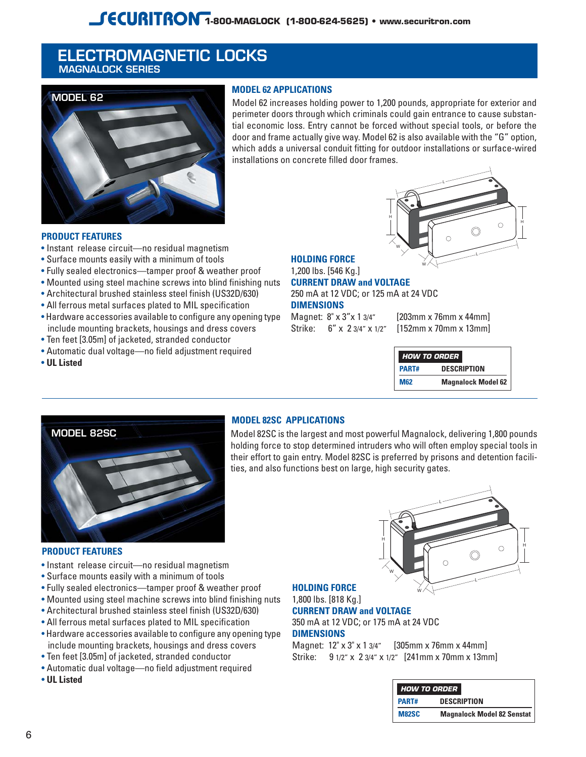# **ELECTROMAGNETIC LOCKS MAGNALOCK SERIES**



#### **MODEL 62 APPLICATIONS**

Model 62 increases holding power to 1,200 pounds, appropriate for exterior and perimeter doors through which criminals could gain entrance to cause substantial economic loss. Entry cannot be forced without special tools, or before the door and frame actually give way. Model 62 is also available with the "G" option, which adds a universal conduit fitting for outdoor installations or surface-wired installations on concrete filled door frames.

H

W

W



- Instant release circuit—no residual magnetism
- Surface mounts easily with a minimum of tools
- Fully sealed electronics—tamper proof & weather proof
- Mounted using steel machine screws into blind finishing nuts
- Architectural brushed stainless steel finish (US32D/630)
- All ferrous metal surfaces plated to MIL specification
- Hardware accessories available to configure any opening type include mounting brackets, housings and dress covers
- Ten feet [3.05m] of jacketed, stranded conductor
- Automatic dual voltage—no field adjustment required
- **UL Listed**

# **HOLDING FORCE** 1,200 lbs. [546 Kg.] **CURRENT DRAW and VOLTAGE**

250 mA at 12 VDC; or 125 mA at 24 VDC **DIMENSIONS**

Strike: 6" x 2 3/4" x 1/2" [152mm x 70mm x 13mm]

Magnet: 8" x 3"x 1 3/4" [203mm x 76mm x 44mm]

L

**PART# DESCRIPTION HOW TO ORDER M62 Magnalock Model 62**

L

H

 $\bigcap$ 



## **MODEL 82SC APPLICATIONS**

Model 82SC is the largest and most powerful Magnalock, delivering 1,800 pounds holding force to stop determined intruders who will often employ special tools in their effort to gain entry. Model 82SC is preferred by prisons and detention facilities, and also functions best on large, high security gates.



## **PRODUCT FEATURES**

- Instant release circuit—no residual magnetism
- Surface mounts easily with a minimum of tools
- Fully sealed electronics—tamper proof & weather proof
- Mounted using steel machine screws into blind finishing nuts
- Architectural brushed stainless steel finish (US32D/630)
- All ferrous metal surfaces plated to MIL specification
- Hardware accessories available to configure any opening type include mounting brackets, housings and dress covers
- Ten feet [3.05m] of jacketed, stranded conductor
- Automatic dual voltage—no field adjustment required
- **UL Listed**

## **HOLDING FORCE**

#### 1,800 lbs. [818 Kg.] **CURRENT DRAW and VOLTAGE**

350 mA at 12 VDC; or 175 mA at 24 VDC **DIMENSIONS**

Magnet: 12" x 3" x 1 3/4" [305mm x 76mm x 44mm] Strike: 9 1/2" x 2 3/4" x 1/2" [241mm x 70mm x 13mm]

| HOW TO ORDER |                                   |
|--------------|-----------------------------------|
| PART#        | <b>DESCRIPTION</b>                |
| <b>M82SC</b> | <b>Magnalock Model 82 Senstat</b> |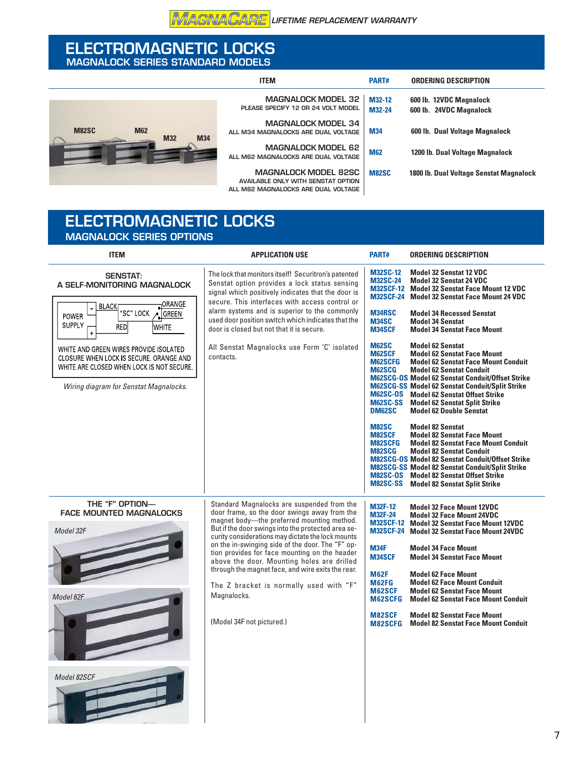# **ELECTROMAGNETIC LOCKS MAGNALOCK SERIES STANDARD MODELS**

|                                                 | <b>ITEM</b>                                                                                       | PART#            | <b>ORDERING DESCRIPTION</b>                        |
|-------------------------------------------------|---------------------------------------------------------------------------------------------------|------------------|----------------------------------------------------|
|                                                 | <b>MAGNALOCK MODEL 32</b><br>PLEASE SPECIFY 12 OR 24 VOLT MODEL                                   | M32-12<br>M32-24 | 600 lb. 12VDC Magnalock<br>600 lb. 24VDC Magnalock |
| <b>M82SC</b><br><b>M62</b><br><b>M32</b><br>M34 | <b>MAGNALOCK MODEL 34</b><br>ALL M34 MAGNALOCKS ARE DUAL VOLTAGE                                  | <b>M34</b>       | 600 lb. Dual Voltage Magnalock                     |
|                                                 | <b>MAGNALOCK MODEL 62</b><br>ALL M62 MAGNALOCKS ARE DUAL VOLTAGE                                  | <b>M62</b>       | 1200 lb. Dual Voltage Magnalock                    |
|                                                 | MAGNALOCK MODEL 82SC<br>AVAILABLE ONLY WITH SENSTAT OPTION<br>ALL M82 MAGNALOCKS ARE DUAL VOLTAGE | <b>M82SC</b>     | 1800 lb. Dual Voltage Senstat Magnalock            |

# **ELECTROMAGNETIC LOCKS MAGNALOCK SERIES OPTIONS**

| <b>ITEM</b>                                                                                                                                                              | <b>APPLICATION USE</b>                                                                                                                                                                                                                                                                                                                                                                                                         | PART#                                                                                  | <b>ORDERING DESCRIPTION</b>                                                                                                                                                                                                                                                                                                                                                       |
|--------------------------------------------------------------------------------------------------------------------------------------------------------------------------|--------------------------------------------------------------------------------------------------------------------------------------------------------------------------------------------------------------------------------------------------------------------------------------------------------------------------------------------------------------------------------------------------------------------------------|----------------------------------------------------------------------------------------|-----------------------------------------------------------------------------------------------------------------------------------------------------------------------------------------------------------------------------------------------------------------------------------------------------------------------------------------------------------------------------------|
| <b>SENSTAT:</b><br>A SELF-MONITORING MAGNALOCK<br>ORANGE                                                                                                                 | The lock that monitors itself! Securitron's patented<br>Senstat option provides a lock status sensing<br>signal which positively indicates that the door is<br>secure. This interfaces with access control or<br>alarm systems and is superior to the commonly<br>used door position switch which indicates that the<br>door is closed but not that it is secure.<br>All Senstat Magnalocks use Form 'C' isolated<br>contacts. | <b>M32SC-12</b><br><b>M32SC-24</b><br><b>M32SCF-24</b>                                 | <b>Model 32 Senstat 12 VDC</b><br>Model 32 Senstat 24 VDC<br>M32SCF-12 Model 32 Senstat Face Mount 12 VDC<br><b>Model 32 Senstat Face Mount 24 VDC</b>                                                                                                                                                                                                                            |
| BLACK<br>'SC" LOCK<br><b>GREEN</b><br><b>POWER</b><br><b>SUPPLY</b><br><b>WHITE</b><br>RED                                                                               |                                                                                                                                                                                                                                                                                                                                                                                                                                | <b>M34RSC</b><br><b>M34SC</b><br>M34SCF                                                | <b>Model 34 Recessed Senstat</b><br><b>Model 34 Senstat</b><br><b>Model 34 Senstat Face Mount</b>                                                                                                                                                                                                                                                                                 |
| WHITE AND GREEN WIRES PROVIDE ISOLATED<br>CLOSURE WHEN LOCK IS SECURE, ORANGE AND<br>WHITE ARE CLOSED WHEN LOCK IS NOT SECURE.<br>Wiring diagram for Senstat Magnalocks. |                                                                                                                                                                                                                                                                                                                                                                                                                                | <b>M62SC</b><br>M62SCF<br><b>M62SCFG</b><br><b>M62SCG</b><br>M62SC-SS<br><b>DM62SC</b> | <b>Model 62 Senstat</b><br><b>Model 62 Senstat Face Mount</b><br><b>Model 62 Senstat Face Mount Conduit</b><br><b>Model 62 Senstat Conduit</b><br><b>M62SCG-OS Model 62 Senstat Conduit/Offset Strike</b><br>M62SCG-SS Model 62 Senstat Conduit/Split Strike<br>M62SC-OS Model 62 Senstat Offset Strike<br><b>Model 62 Senstat Split Strike</b><br><b>Model 62 Double Senstat</b> |
|                                                                                                                                                                          |                                                                                                                                                                                                                                                                                                                                                                                                                                | <b>M82SC</b><br><b>M82SCF</b><br><b>M82SCFG</b><br><b>M82SCG</b><br><b>M82SC-SS</b>    | <b>Model 82 Senstat</b><br><b>Model 82 Senstat Face Mount</b><br><b>Model 82 Senstat Face Mount Conduit</b><br><b>Model 82 Senstat Conduit</b><br>M82SCG-OS Model 82 Senstat Conduit/Offset Strike<br><b>M82SCG-SS Model 82 Senstat Conduit/Split Strike</b><br><b>M82SC-OS</b> Model 82 Senstat Offset Strike<br><b>Model 82 Senstat Split Strike</b>                            |
| THE "F" OPTION-<br><b>FACE MOUNTED MAGNALOCKS</b>                                                                                                                        | Standard Magnalocks are suspended from the<br>door frame, so the door swings away from the<br>magnet body-the preferred mounting method.                                                                                                                                                                                                                                                                                       | <b>M32F-12</b><br><b>M32F-24</b><br><b>M32SCF-12</b>                                   | <b>Model 32 Face Mount 12VDC</b><br><b>Model 32 Face Mount 24VDC</b><br><b>Model 32 Senstat Face Mount 12VDC</b>                                                                                                                                                                                                                                                                  |
| Model 32F                                                                                                                                                                | But if the door swings into the protected area se-<br>curity considerations may dictate the lock mounts<br>on the in-swinging side of the door. The "F" op-                                                                                                                                                                                                                                                                    | <b>M32SCF-24</b><br><b>M34F</b>                                                        | <b>Model 32 Senstat Face Mount 24VDC</b><br><b>Model 34 Face Mount</b>                                                                                                                                                                                                                                                                                                            |
|                                                                                                                                                                          | tion provides for face mounting on the header<br>above the door. Mounting holes are drilled<br>through the magnet face, and wire exits the rear.                                                                                                                                                                                                                                                                               | M34SCF                                                                                 | <b>Model 34 Senstat Face Mount</b>                                                                                                                                                                                                                                                                                                                                                |
| Model 62F                                                                                                                                                                | The Z bracket is normally used with "F"<br>Magnalocks.<br>(Model 34F not pictured.)                                                                                                                                                                                                                                                                                                                                            | <b>M62F</b><br>M62FG<br>M62SCF<br>M62SCFG                                              | <b>Model 62 Face Mount</b><br><b>Model 62 Face Mount Conduit</b><br><b>Model 62 Senstat Face Mount</b><br><b>Model 62 Senstat Face Mount Conduit</b>                                                                                                                                                                                                                              |
|                                                                                                                                                                          |                                                                                                                                                                                                                                                                                                                                                                                                                                | <b>M82SCF</b><br><b>M82SCFG</b>                                                        | <b>Model 82 Senstat Face Mount</b><br><b>Model 82 Senstat Face Mount Conduit</b>                                                                                                                                                                                                                                                                                                  |
| Model 82SCF                                                                                                                                                              |                                                                                                                                                                                                                                                                                                                                                                                                                                |                                                                                        |                                                                                                                                                                                                                                                                                                                                                                                   |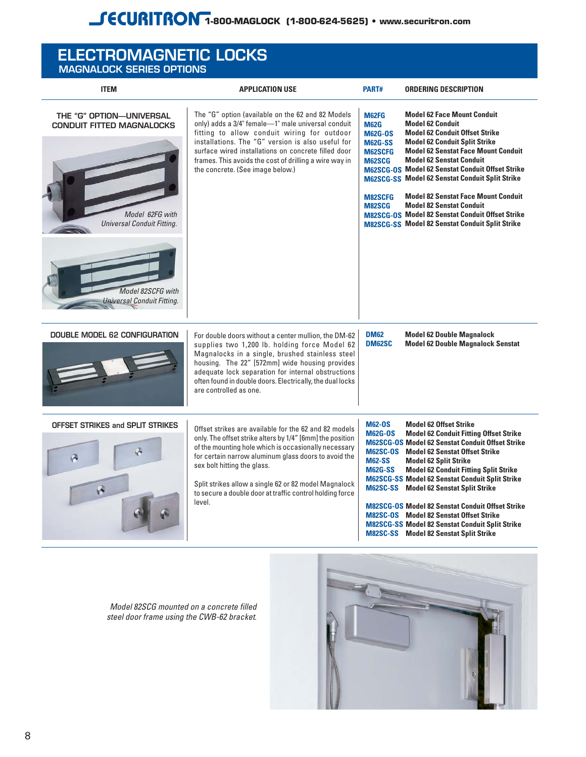|                                      |  |  |  |  | <b>ELECTROMAGNETIC LOCKS</b> |
|--------------------------------------|--|--|--|--|------------------------------|
| <b>ALACALAL OCU/ OFBIFO OBTIONIC</b> |  |  |  |  |                              |

| MAGNALOCK SERIES OPTIONS                                                                                                                                         |                                                                                                                                                                                                                                                                                                                                                                                                  |                                                                                                                         |                                                                                                                                                                                                                                                                                                                                                                                                                                                                                                                                                                                                |
|------------------------------------------------------------------------------------------------------------------------------------------------------------------|--------------------------------------------------------------------------------------------------------------------------------------------------------------------------------------------------------------------------------------------------------------------------------------------------------------------------------------------------------------------------------------------------|-------------------------------------------------------------------------------------------------------------------------|------------------------------------------------------------------------------------------------------------------------------------------------------------------------------------------------------------------------------------------------------------------------------------------------------------------------------------------------------------------------------------------------------------------------------------------------------------------------------------------------------------------------------------------------------------------------------------------------|
| <b>ITEM</b>                                                                                                                                                      | <b>APPLICATION USE</b>                                                                                                                                                                                                                                                                                                                                                                           | PART#                                                                                                                   | <b>ORDERING DESCRIPTION</b>                                                                                                                                                                                                                                                                                                                                                                                                                                                                                                                                                                    |
| THE "G" OPTION-UNIVERSAL<br><b>CONDUIT FITTED MAGNALOCKS</b><br>Model 62FG with<br>Universal Conduit Fitting.<br>Model 82SCFG with<br>Universal Conduit Fitting. | The "G" option (available on the 62 and 82 Models<br>only) adds a 3/4" female-1" male universal conduit<br>fitting to allow conduit wiring for outdoor<br>installations. The "G" version is also useful for<br>surface wired installations on concrete filled door<br>frames. This avoids the cost of drilling a wire way in<br>the concrete. (See image below.)                                 | M62FG<br><b>M62G</b><br><b>M62G-OS</b><br><b>M62G-SS</b><br><b>M62SCFG</b><br>M62SCG<br><b>M82SCFG</b><br><b>M82SCG</b> | <b>Model 62 Face Mount Conduit</b><br><b>Model 62 Conduit</b><br><b>Model 62 Conduit Offset Strike</b><br><b>Model 62 Conduit Split Strike</b><br><b>Model 62 Senstat Face Mount Conduit</b><br><b>Model 62 Senstat Conduit</b><br>M62SCG-OS Model 62 Senstat Conduit Offset Strike<br><b>M62SCG-SS Model 62 Senstat Conduit Split Strike</b><br><b>Model 82 Senstat Face Mount Conduit</b><br><b>Model 82 Senstat Conduit</b><br>M82SCG-OS Model 82 Senstat Conduit Offset Strike<br><b>M82SCG-SS Model 82 Senstat Conduit Split Strike</b>                                                   |
| DOUBLE MODEL 62 CONFIGURATION                                                                                                                                    | For double doors without a center mullion, the DM-62<br>supplies two 1,200 lb. holding force Model 62<br>Magnalocks in a single, brushed stainless steel<br>housing. The 22" [572mm] wide housing provides<br>adequate lock separation for internal obstructions<br>often found in double doors. Electrically, the dual locks<br>are controlled as one.                                          | <b>DM62</b><br><b>DM62SC</b>                                                                                            | <b>Model 62 Double Magnalock</b><br><b>Model 62 Double Magnalock Senstat</b>                                                                                                                                                                                                                                                                                                                                                                                                                                                                                                                   |
| <b>OFFSET STRIKES and SPLIT STRIKES</b><br>$\sigma$                                                                                                              | Offset strikes are available for the 62 and 82 models<br>only. The offset strike alters by 1/4" [6mm] the position<br>of the mounting hole which is occasionally necessary<br>for certain narrow aluminum glass doors to avoid the<br>sex bolt hitting the glass.<br>Split strikes allow a single 62 or 82 model Magnalock<br>to secure a double door at traffic control holding force<br>level. | <b>M62-OS</b><br><b>M62G-OS</b><br><b>M62SC-OS</b><br><b>M62-SS</b><br><b>M62G-SS</b>                                   | <b>Model 62 Offset Strike</b><br><b>Model 62 Conduit Fitting Offset Strike</b><br><b>M62SCG-OS Model 62 Senstat Conduit Offset Strike</b><br><b>Model 62 Senstat Offset Strike</b><br><b>Model 62 Split Strike</b><br><b>Model 62 Conduit Fitting Split Strike</b><br><b>M62SCG-SS Model 62 Senstat Conduit Split Strike</b><br>M62SC-SS Model 62 Senstat Split Strike<br><b>M82SCG-OS Model 82 Senstat Conduit Offset Strike</b><br><b>M82SC-OS</b> Model 82 Senstat Offset Strike<br><b>M82SCG-SS Model 82 Senstat Conduit Split Strike</b><br><b>M82SC-SS</b> Model 82 Senstat Split Strike |

Model 82SCG mounted on a concrete filled steel door frame using the CWB-62 bracket.

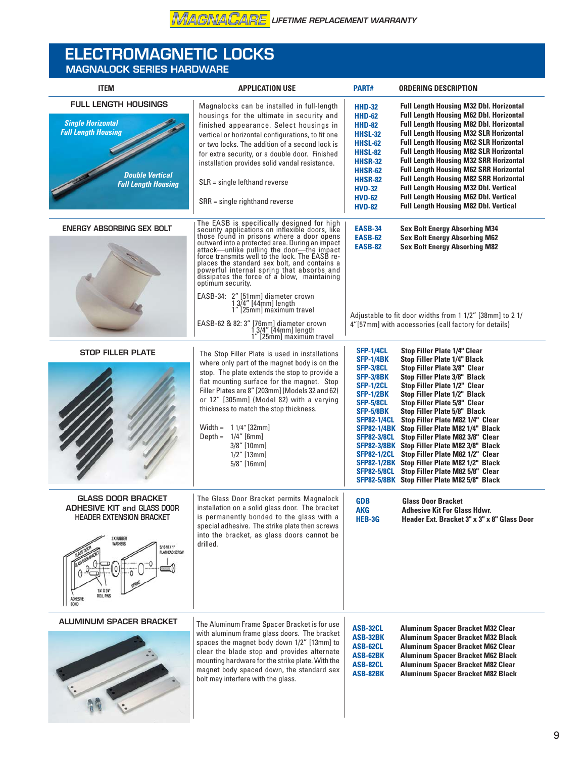# **ELECTROMAGNETIC LOCKS MAGNALOCK SERIES HARDWARE**

| <b>ITEM</b>                                                                                                                                                                                                        | <b>APPLICATION USE</b>                                                                                                                                                                                                                                                                                                                                                                                                                                                                                                                                                                              | PART#                                                                                                                                                                                                                                                                        | <b>ORDERING DESCRIPTION</b>                                                                                                                                                                                                                                                                                                                                                                                                                                                                                                                                                                              |
|--------------------------------------------------------------------------------------------------------------------------------------------------------------------------------------------------------------------|-----------------------------------------------------------------------------------------------------------------------------------------------------------------------------------------------------------------------------------------------------------------------------------------------------------------------------------------------------------------------------------------------------------------------------------------------------------------------------------------------------------------------------------------------------------------------------------------------------|------------------------------------------------------------------------------------------------------------------------------------------------------------------------------------------------------------------------------------------------------------------------------|----------------------------------------------------------------------------------------------------------------------------------------------------------------------------------------------------------------------------------------------------------------------------------------------------------------------------------------------------------------------------------------------------------------------------------------------------------------------------------------------------------------------------------------------------------------------------------------------------------|
| <b>FULL LENGTH HOUSINGS</b><br><b>Single Horizontal</b><br><b>Full Length Housing</b><br><b>Double Vertical</b><br><b>Full Length Housing</b>                                                                      | Magnalocks can be installed in full-length<br>housings for the ultimate in security and<br>finished appearance. Select housings in<br>vertical or horizontal configurations, to fit one<br>or two locks. The addition of a second lock is<br>for extra security, or a double door. Finished<br>installation provides solid vandal resistance.<br>$SLR =$ single lefthand reverse<br>SRR = single righthand reverse                                                                                                                                                                                  | <b>HHD-32</b><br><b>HHD-62</b><br><b>HHD-82</b><br><b>HHSL-32</b><br><b>HHSL-62</b><br>HHSL-82<br><b>HHSR-32</b><br><b>HHSR-62</b><br>HHSR-82<br><b>HVD-32</b><br><b>HVD-62</b><br><b>HVD-82</b>                                                                             | <b>Full Length Housing M32 Dbl. Horizontal</b><br><b>Full Length Housing M62 Dbl. Horizontal</b><br><b>Full Length Housing M82 Dbl. Horizontal</b><br><b>Full Length Housing M32 SLR Horizontal</b><br><b>Full Length Housing M62 SLR Horizontal</b><br><b>Full Length Housing M82 SLR Horizontal</b><br><b>Full Length Housing M32 SRR Horizontal</b><br><b>Full Length Housing M62 SRR Horizontal</b><br><b>Full Length Housing M82 SRR Horizontal</b><br><b>Full Length Housing M32 Dbl. Vertical</b><br><b>Full Length Housing M62 Dbl. Vertical</b><br><b>Full Length Housing M82 Dbl. Vertical</b> |
| <b>ENERGY ABSORBING SEX BOLT</b>                                                                                                                                                                                   | The EASB is specifically designed for high<br>security applications on inflexible doors, like<br>those found in prisons where a door opens<br>outward into a protected area. During an impact<br>attack—unlike pulling the door—the impact<br>places the standard sex bolt, and contains a<br>powerful internal spring that absorbs and<br>dissipates the force of a blow, maintaining<br>optimum security.<br>EASB-34: 2" [51mm] diameter crown<br>1 3/4" [44mm] length<br>1" [25mm] maximum travel<br>EASB-62 & 82: 3" [76mm] diameter crown<br>$13/4"$ [44mm] length<br>1" [25mm] maximum travel | EASB-34<br><b>EASB-62</b><br><b>EASB-82</b>                                                                                                                                                                                                                                  | <b>Sex Bolt Energy Absorbing M34</b><br><b>Sex Bolt Energy Absorbing M62</b><br><b>Sex Bolt Energy Absorbing M82</b><br>Adjustable to fit door widths from 1 1/2" [38mm] to 2 1/<br>4"[57mm] with accessories (call factory for details)                                                                                                                                                                                                                                                                                                                                                                 |
| STOP FILLER PLATE                                                                                                                                                                                                  | The Stop Filler Plate is used in installations<br>where only part of the magnet body is on the<br>stop. The plate extends the stop to provide a<br>flat mounting surface for the magnet. Stop<br>Filler Plates are 8" [203mm] (Models 32 and 62)<br>or 12" [305mm] (Model 82) with a varying<br>thickness to match the stop thickness.<br>Width = $11/4$ " [32mm]<br>Depth = $1/4$ " [6mm]<br>$3/8"$ [10mm]<br>$1/2$ " [13mm]<br>$5/8"$ [16mm]                                                                                                                                                      | SFP-1/4CL<br><b>SFP-1/4BK</b><br>SFP-3/8CL<br>SFP-3/8BK<br>SFP-1/2CL<br>SFP-1/2BK<br>SFP-5/8CL<br><b>SFP-5/8BK</b><br><b>SFP82-1/4CL</b><br><b>SFP82-1/4BK</b><br><b>SFP82-3/8CL</b><br><b>SFP82-3/8BK</b><br><b>SFP82-1/2CL</b><br><b>SFP82-1/2BK</b><br><b>SFP82-5/8CL</b> | <b>Stop Filler Plate 1/4" Clear</b><br><b>Stop Filler Plate 1/4" Black</b><br>Stop Filler Plate 3/8" Clear<br>Stop Filler Plate 3/8" Black<br>Stop Filler Plate 1/2" Clear<br>Stop Filler Plate 1/2" Black<br>Stop Filler Plate 5/8" Clear<br>Stop Filler Plate 5/8" Black<br>Stop Filler Plate M82 1/4" Clear<br>Stop Filler Plate M82 1/4" Black<br>Stop Filler Plate M82 3/8" Clear<br>Stop Filler Plate M82 3/8" Black<br>Stop Filler Plate M82 1/2" Clear<br>Stop Filler Plate M82 1/2" Black<br>Stop Filler Plate M82 5/8" Clear<br>SFP82-5/8BK Stop Filler Plate M82 5/8" Black                   |
| <b>GLASS DOOR BRACKET</b><br><b>ADHESIVE KIT and GLASS DOOR</b><br><b>HEADER EXTENSION BRACKET</b><br>2 X RUBBER<br>WASHERS<br>5/16-18 X 1"<br>FLATHEAD SCREW<br>14° X 34°<br>ROLL PINS<br><b>ADHESIVE</b><br>BOND | The Glass Door Bracket permits Magnalock<br>installation on a solid glass door. The bracket<br>is permanently bonded to the glass with a<br>special adhesive. The strike plate then screws<br>into the bracket, as glass doors cannot be<br>drilled.                                                                                                                                                                                                                                                                                                                                                | <b>GDB</b><br><b>AKG</b><br>HEB-3G                                                                                                                                                                                                                                           | <b>Glass Door Bracket</b><br><b>Adhesive Kit For Glass Hdwr.</b><br>Header Ext. Bracket 3" x 3" x 8" Glass Door                                                                                                                                                                                                                                                                                                                                                                                                                                                                                          |
| <b>ALUMINUM SPACER BRACKET</b>                                                                                                                                                                                     | The Aluminum Frame Spacer Bracket is for use<br>with aluminum frame glass doors. The bracket<br>spaces the magnet body down 1/2" [13mm] to<br>clear the blade stop and provides alternate<br>mounting hardware for the strike plate. With the<br>magnet body spaced down, the standard sex<br>bolt may interfere with the glass.                                                                                                                                                                                                                                                                    | ASB-32CL<br>ASB-32BK<br>ASB-62CL<br>ASB-62BK<br>ASB-82CL<br>ASB-82BK                                                                                                                                                                                                         | <b>Aluminum Spacer Bracket M32 Clear</b><br><b>Aluminum Spacer Bracket M32 Black</b><br><b>Aluminum Spacer Bracket M62 Clear</b><br><b>Aluminum Spacer Bracket M62 Black</b><br><b>Aluminum Spacer Bracket M82 Clear</b><br><b>Aluminum Spacer Bracket M82 Black</b>                                                                                                                                                                                                                                                                                                                                     |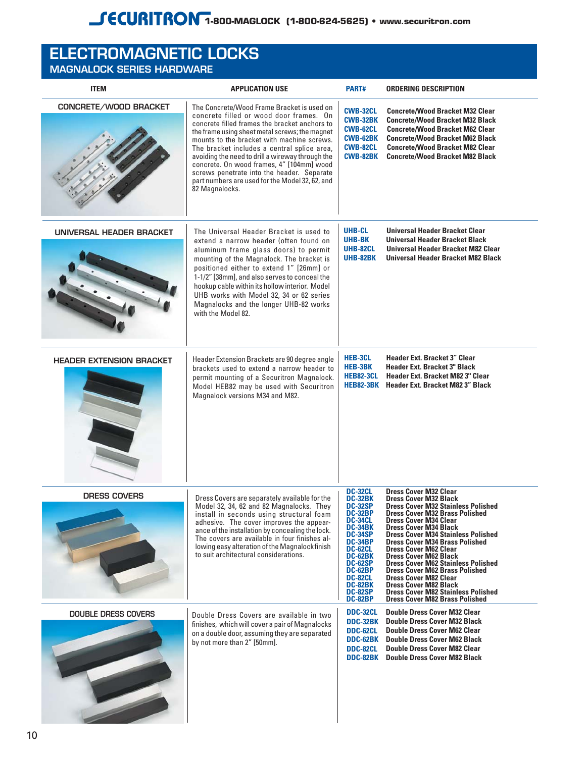# **ELECTROMAGNETIC LOCKS**

# **MAGNALOCK SERIES HARDWARE**

| <b>ITEM</b>                     | <b>APPLICATION USE</b>                                                                                                                                                                                                                                                                                                                                                                                                                                                                                    | PART#                                                                                                                                                                                                                                              | <b>ORDERING DESCRIPTION</b>                                                                                                                                                                                                                                                                                                                                                                                                                                                                                                                                                                                   |
|---------------------------------|-----------------------------------------------------------------------------------------------------------------------------------------------------------------------------------------------------------------------------------------------------------------------------------------------------------------------------------------------------------------------------------------------------------------------------------------------------------------------------------------------------------|----------------------------------------------------------------------------------------------------------------------------------------------------------------------------------------------------------------------------------------------------|---------------------------------------------------------------------------------------------------------------------------------------------------------------------------------------------------------------------------------------------------------------------------------------------------------------------------------------------------------------------------------------------------------------------------------------------------------------------------------------------------------------------------------------------------------------------------------------------------------------|
| CONCRETE/WOOD BRACKET           | The Concrete/Wood Frame Bracket is used on<br>concrete filled or wood door frames. On<br>concrete filled frames the bracket anchors to<br>the frame using sheet metal screws; the magnet<br>mounts to the bracket with machine screws.<br>The bracket includes a central splice area.<br>avoiding the need to drill a wireway through the<br>concrete. On wood frames, 4" [104mm] wood<br>screws penetrate into the header. Separate<br>part numbers are used for the Model 32, 62, and<br>82 Magnalocks. | <b>CWB-32CL</b><br><b>CWB-32BK</b><br><b>CWB-62CL</b><br><b>CWB-62BK</b><br><b>CWB-82CL</b><br><b>CWB-82BK</b>                                                                                                                                     | <b>Concrete/Wood Bracket M32 Clear</b><br><b>Concrete/Wood Bracket M32 Black</b><br><b>Concrete/Wood Bracket M62 Clear</b><br><b>Concrete/Wood Bracket M62 Black</b><br><b>Concrete/Wood Bracket M82 Clear</b><br><b>Concrete/Wood Bracket M82 Black</b>                                                                                                                                                                                                                                                                                                                                                      |
| UNIVERSAL HEADER BRACKET        | The Universal Header Bracket is used to<br>extend a narrow header (often found on<br>aluminum frame glass doors) to permit<br>mounting of the Magnalock. The bracket is<br>positioned either to extend 1" [26mm] or<br>1-1/2" [38mm], and also serves to conceal the<br>hookup cable within its hollow interior. Model<br>UHB works with Model 32, 34 or 62 series<br>Magnalocks and the longer UHB-82 works<br>with the Model 82.                                                                        | <b>UHB-CL</b><br><b>UHB-BK</b><br>UHB-82CL<br><b>UHB-82BK</b>                                                                                                                                                                                      | Universal Header Bracket Clear<br><b>Universal Header Bracket Black</b><br>Universal Header Bracket M82 Clear<br>Universal Header Bracket M82 Black                                                                                                                                                                                                                                                                                                                                                                                                                                                           |
| <b>HEADER EXTENSION BRACKET</b> | Header Extension Brackets are 90 degree angle<br>brackets used to extend a narrow header to<br>permit mounting of a Securitron Magnalock.<br>Model HEB82 may be used with Securitron<br>Magnalock versions M34 and M82.                                                                                                                                                                                                                                                                                   | <b>HEB-3CL</b><br><b>HEB-3BK</b><br><b>HEB82-3CL</b><br><b>HEB82-3BK</b>                                                                                                                                                                           | <b>Header Ext. Bracket 3" Clear</b><br><b>Header Ext. Bracket 3" Black</b><br><b>Header Ext. Bracket M82 3" Clear</b><br><b>Header Ext. Bracket M82 3" Black</b>                                                                                                                                                                                                                                                                                                                                                                                                                                              |
| <b>DRESS COVERS</b>             | Dress Covers are separately available for the<br>Model 32, 34, 62 and 82 Magnalocks. They<br>install in seconds using structural foam<br>adhesive. The cover improves the appear-<br>ance of the installation by concealing the lock.<br>The covers are available in four finishes al-<br>lowing easy alteration of the Magnalockfinish<br>to suit architectural considerations.                                                                                                                          | <b>DC-32CL</b><br><b>DC-32BK</b><br><b>DC-32SP</b><br><b>DC-32BP</b><br><b>DC-34CL</b><br><b>DC-34BK</b><br><b>DC-34SP</b><br><b>DC-34BP</b><br>DC-62CL<br>DC-62BK<br><b>DC-62SP</b><br>DC-62BP<br>DC-82CL<br>DC-82BK<br>DC-82SP<br><b>DC-82BP</b> | <b>Dress Cover M32 Clear</b><br><b>Dress Cover M32 Black</b><br>Dress Cover M32 Stainless Polished<br><b>Dress Cover M32 Brass Polished</b><br><b>Dress Cover M34 Clear</b><br><b>Dress Cover M34 Black</b><br><b>Dress Cover M34 Stainless Polished</b><br><b>Dress Cover M34 Brass Polished</b><br><b>Dress Cover M62 Clear</b><br><b>Dress Cover M62 Black</b><br><b>Dress Cover M62 Stainless Polished</b><br><b>Dress Cover M62 Brass Polished</b><br><b>Dress Cover M82 Clear</b><br><b>Dress Cover M82 Black</b><br><b>Dress Cover M82 Stainless Polished</b><br><b>Dress Cover M82 Brass Polished</b> |
| <b>DOUBLE DRESS COVERS</b>      | Double Dress Covers are available in two<br>finishes, which will cover a pair of Magnalocks<br>on a double door, assuming they are separated<br>by not more than 2" [50mm].                                                                                                                                                                                                                                                                                                                               | DDC-32CL<br>DDC-32BK<br>DDC-62CL<br>DDC-62BK<br><b>DDC-82CL</b>                                                                                                                                                                                    | <b>Double Dress Cover M32 Clear</b><br><b>Double Dress Cover M32 Black</b><br><b>Double Dress Cover M62 Clear</b><br><b>Double Dress Cover M62 Black</b><br><b>Double Dress Cover M82 Clear</b><br><b>DDC-82BK</b> Double Dress Cover M82 Black                                                                                                                                                                                                                                                                                                                                                               |